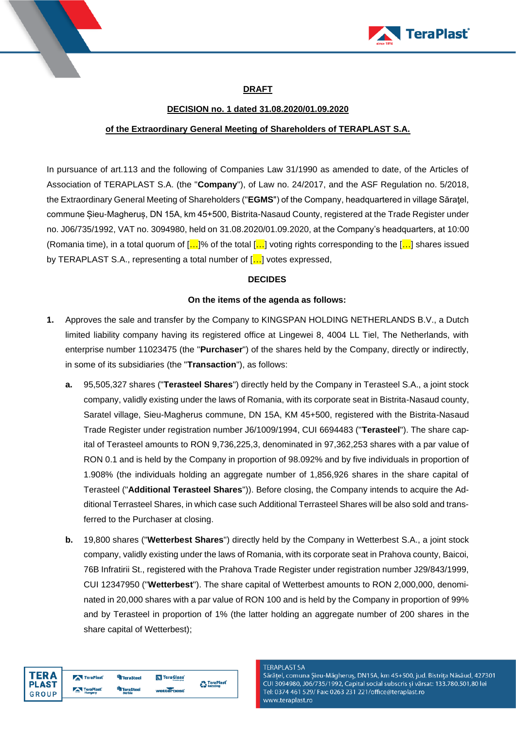

# TeraPlast<sup>®</sup>

## **DRAFT**

# **DECISION no. 1 dated 31.08.2020/01.09.2020**

# **of the Extraordinary General Meeting of Shareholders of TERAPLAST S.A.**

In pursuance of art.113 and the following of Companies Law 31/1990 as amended to date, of the Articles of Association of TERAPLAST S.A. (the "**Company**"), of Law no. 24/2017, and the ASF Regulation no. 5/2018, the Extraordinary General Meeting of Shareholders ("**EGMS**") of the Company, headquartered in village Săraţel, commune Șieu-Magheruș, DN 15A, km 45+500, Bistrita-Nasaud County, registered at the Trade Register under no. J06/735/1992, VAT no. 3094980, held on 31.08.2020/01.09.2020, at the Company's headquarters, at 10:00 (Romania time), in a total quorum of  $[...]$ % of the total  $[...]$  voting rights corresponding to the  $[...]$  shares issued by TERAPLAST S.A., representing a total number of [...] votes expressed,

### **DECIDES**

### **On the items of the agenda as follows:**

- **1.** Approves the sale and transfer by the Company to KINGSPAN HOLDING NETHERLANDS B.V., a Dutch limited liability company having its registered office at Lingewei 8, 4004 LL Tiel, The Netherlands, with enterprise number 11023475 (the "**Purchaser**") of the shares held by the Company, directly or indirectly, in some of its subsidiaries (the "**Transaction**"), as follows:
	- **a.** 95,505,327 shares ("**Terasteel Shares**") directly held by the Company in Terasteel S.A., a joint stock company, validly existing under the laws of Romania, with its corporate seat in Bistrita-Nasaud county, Saratel village, Sieu-Magherus commune, DN 15A, KM 45+500, registered with the Bistrita-Nasaud Trade Register under registration number J6/1009/1994, CUI 6694483 ("**Terasteel**"). The share capital of Terasteel amounts to RON 9,736,225,3, denominated in 97,362,253 shares with a par value of RON 0.1 and is held by the Company in proportion of 98.092% and by five individuals in proportion of 1.908% (the individuals holding an aggregate number of 1,856,926 shares in the share capital of Terasteel ("**Additional Terasteel Shares**")). Before closing, the Company intends to acquire the Additional Terrasteel Shares, in which case such Additional Terrasteel Shares will be also sold and transferred to the Purchaser at closing.
	- **b.** 19,800 shares ("**Wetterbest Shares**") directly held by the Company in Wetterbest S.A., a joint stock company, validly existing under the laws of Romania, with its corporate seat in Prahova county, Baicoi, 76B Infratirii St., registered with the Prahova Trade Register under registration number J29/843/1999, CUI 12347950 ("**Wetterbest**"). The share capital of Wetterbest amounts to RON 2,000,000, denominated in 20,000 shares with a par value of RON 100 and is held by the Company in proportion of 99% and by Terasteel in proportion of 1% (the latter holding an aggregate number of 200 shares in the share capital of Wetterbest);



Sărățel, comuna Șieu-Măgheruș, DN15A, km 45+500, jud. Bistrița Năsăud, 427301 CUI 3094980, J06/735/1992, Capital social subscris și vărsat: 133.780.501,80 lei Tel: 0374 461 529/ Fax: 0263 231 221/office@teraplast.ro www.teraplast.ro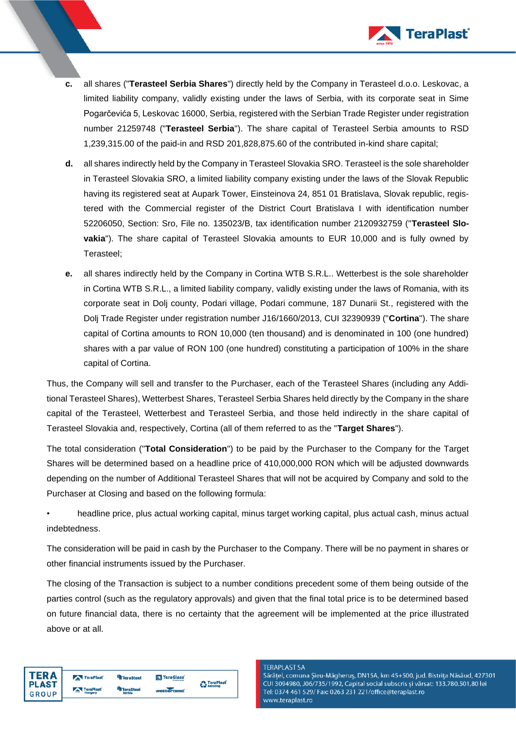

- **c.** all shares ("**Terasteel Serbia Shares**") directly held by the Company in Terasteel d.o.o. Leskovac, a limited liability company, validly existing under the laws of Serbia, with its corporate seat in Sime Pogarčevića 5, Leskovac 16000, Serbia, registered with the Serbian Trade Register under registration number 21259748 ("**Terasteel Serbia**"). The share capital of Terasteel Serbia amounts to RSD 1,239,315.00 of the paid-in and RSD 201,828,875.60 of the contributed in-kind share capital;
- **d.** all shares indirectly held by the Company in Terasteel Slovakia SRO. Terasteel is the sole shareholder in Terasteel Slovakia SRO, a limited liability company existing under the laws of the Slovak Republic having its registered seat at Aupark Tower, Einsteinova 24, 851 01 Bratislava, Slovak republic, registered with the Commercial register of the District Court Bratislava I with identification number 52206050, Section: Sro, File no. 135023/B, tax identification number 2120932759 ("**Terasteel Slovakia**"). The share capital of Terasteel Slovakia amounts to EUR 10,000 and is fully owned by Terasteel;
- **e.** all shares indirectly held by the Company in Cortina WTB S.R.L.. Wetterbest is the sole shareholder in Cortina WTB S.R.L., a limited liability company, validly existing under the laws of Romania, with its corporate seat in Dolj county, Podari village, Podari commune, 187 Dunarii St., registered with the Dolj Trade Register under registration number J16/1660/2013, CUI 32390939 ("**Cortina**"). The share capital of Cortina amounts to RON 10,000 (ten thousand) and is denominated in 100 (one hundred) shares with a par value of RON 100 (one hundred) constituting a participation of 100% in the share capital of Cortina.

Thus, the Company will sell and transfer to the Purchaser, each of the Terasteel Shares (including any Additional Terasteel Shares), Wetterbest Shares, Terasteel Serbia Shares held directly by the Company in the share capital of the Terasteel, Wetterbest and Terasteel Serbia, and those held indirectly in the share capital of Terasteel Slovakia and, respectively, Cortina (all of them referred to as the "**Target Shares**").

The total consideration ("**Total Consideration**") to be paid by the Purchaser to the Company for the Target Shares will be determined based on a headline price of 410,000,000 RON which will be adjusted downwards depending on the number of Additional Terasteel Shares that will not be acquired by Company and sold to the Purchaser at Closing and based on the following formula:

• headline price, plus actual working capital, minus target working capital, plus actual cash, minus actual indebtedness.

The consideration will be paid in cash by the Purchaser to the Company. There will be no payment in shares or other financial instruments issued by the Purchaser.

The closing of the Transaction is subject to a number conditions precedent some of them being outside of the parties control (such as the regulatory approvals) and given that the final total price is to be determined based on future financial data, there is no certainty that the agreement will be implemented at the price illustrated above or at all.

| TER A |
|-------|
| PLAST |
| GROUP |

#### **TERAPLAST SA**

Sărățel, comuna Șieu-Măgheruș, DN15A, km 45+500, jud. Bistrița Năsăud, 427301 CUI 3094980, J06/735/1992, Capital social subscris și vărsat: 133.780.501,80 lei Tel: 0374 461 529/ Fax: 0263 231 221/office@teraplast.ro www.teraplast.ro